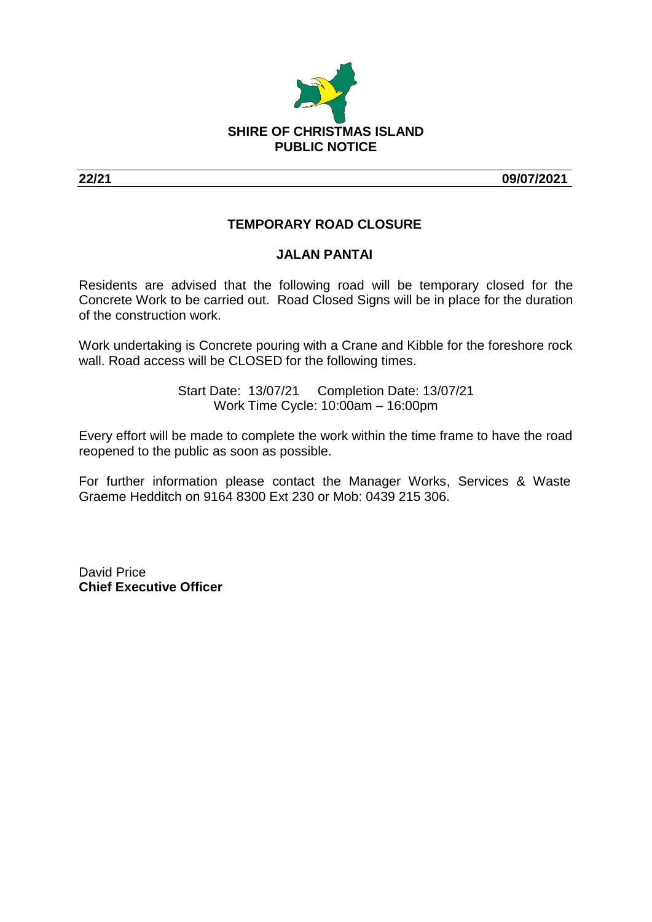

**22/21 09/07/2021**

## **TEMPORARY ROAD CLOSURE**

## **JALAN PANTAI**

Residents are advised that the following road will be temporary closed for the Concrete Work to be carried out. Road Closed Signs will be in place for the duration of the construction work.

Work undertaking is Concrete pouring with a Crane and Kibble for the foreshore rock wall. Road access will be CLOSED for the following times.

> Start Date: 13/07/21 Completion Date: 13/07/21 Work Time Cycle: 10:00am – 16:00pm

Every effort will be made to complete the work within the time frame to have the road reopened to the public as soon as possible.

For further information please contact the Manager Works, Services & Waste Graeme Hedditch on 9164 8300 Ext 230 or Mob: 0439 215 306.

David Price **Chief Executive Officer**